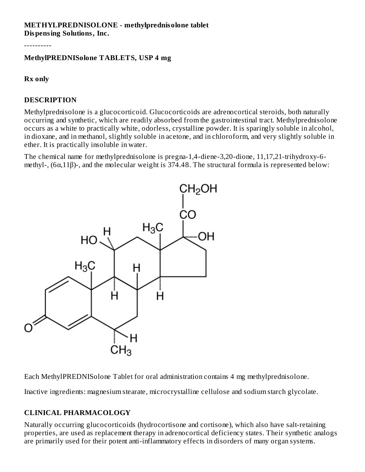#### **METHYLPREDNISOLONE - methylprednisolone tablet Dispensing Solutions, Inc.**

----------

#### **MethylPREDNISolone TABLETS, USP 4 mg**

#### **Rx only**

#### **DESCRIPTION**

Methylprednisolone is a glucocorticoid. Glucocorticoids are adrenocortical steroids, both naturally occurring and synthetic, which are readily absorbed from the gastrointestinal tract. Methylprednisolone occurs as a white to practically white, odorless, crystalline powder. It is sparingly soluble in alcohol, in dioxane, and in methanol, slightly soluble in acetone, and in chloroform, and very slightly soluble in ether. It is practically insoluble in water.

The chemical name for methylprednisolone is pregna-1,4-diene-3,20-dione, 11,17,21-trihydroxy-6 methyl-, (6α,11β)-, and the molecular weight is 374.48. The structural formula is represented below:



Each MethylPREDNISolone Tablet for oral administration contains 4 mg methylprednisolone.

Inactive ingredients: magnesium stearate, microcrystalline cellulose and sodium starch glycolate.

# **CLINICAL PHARMACOLOGY**

Naturally occurring glucocorticoids (hydrocortisone and cortisone), which also have salt-retaining properties, are used as replacement therapy in adrenocortical deficiency states. Their synthetic analogs are primarily used for their potent anti-inflammatory effects in disorders of many organ systems.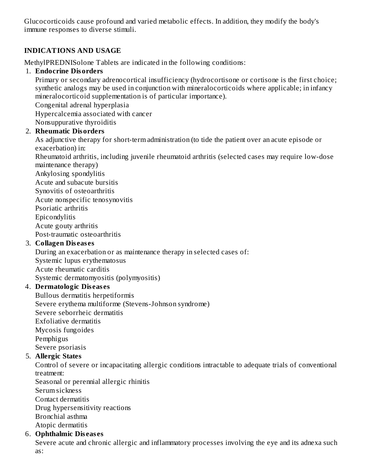Glucocorticoids cause profound and varied metabolic effects. In addition, they modify the body's immune responses to diverse stimuli.

# **INDICATIONS AND USAGE**

MethylPREDNISolone Tablets are indicated in the following conditions:

## 1. **Endocrine Disorders**

Primary or secondary adrenocortical insufficiency (hydrocortisone or cortisone is the first choice; synthetic analogs may be used in conjunction with mineralocorticoids where applicable; in infancy mineralocorticoid supplementation is of particular importance).

Congenital adrenal hyperplasia

Hypercalcemia associated with cancer

Nonsuppurative thyroiditis

## 2. **Rheumatic Disorders**

As adjunctive therapy for short-term administration (to tide the patient over an acute episode or exacerbation) in:

Rheumatoid arthritis, including juvenile rheumatoid arthritis (selected cases may require low-dose maintenance therapy)

Ankylosing spondylitis

Acute and subacute bursitis

Synovitis of osteoarthritis

Acute nonspecific tenosynovitis

Psoriatic arthritis

Epicondylitis

Acute gouty arthritis

Post-traumatic osteoarthritis

# 3. **Collagen Dis eas es**

During an exacerbation or as maintenance therapy in selected cases of:

Systemic lupus erythematosus

Acute rheumatic carditis

Systemic dermatomyositis (polymyositis)

# 4. **Dermatologic Dis eas es**

Bullous dermatitis herpetiformis Severe erythema multiforme (Stevens-Johnson syndrome) Severe seborrheic dermatitis Exfoliative dermatitis Mycosis fungoides Pemphigus Severe psoriasis

# 5. **Allergic States**

Control of severe or incapacitating allergic conditions intractable to adequate trials of conventional treatment:

Seasonal or perennial allergic rhinitis

Serum sickness

Contact dermatitis

Drug hypersensitivity reactions

Bronchial asthma

Atopic dermatitis

# 6. **Ophthalmic Dis eas es**

Severe acute and chronic allergic and inflammatory processes involving the eye and its adnexa such as: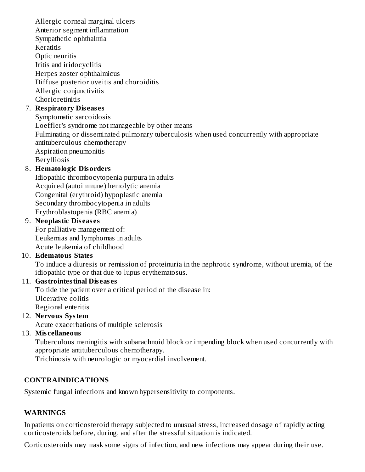Allergic corneal marginal ulcers Anterior segment inflammation Sympathetic ophthalmia **Keratitis** Optic neuritis Iritis and iridocyclitis Herpes zoster ophthalmicus Diffuse posterior uveitis and choroiditis Allergic conjunctivitis **Chorioretinitis** 

### 7. **Respiratory Dis eas es**

Symptomatic sarcoidosis

Loeffler's syndrome not manageable by other means

Fulminating or disseminated pulmonary tuberculosis when used concurrently with appropriate antituberculous chemotherapy

Aspiration pneumonitis

Berylliosis

## 8. **Hematologic Disorders**

Idiopathic thrombocytopenia purpura in adults Acquired (autoimmune) hemolytic anemia Congenital (erythroid) hypoplastic anemia Secondary thrombocytopenia in adults Erythroblastopenia (RBC anemia)

### 9. **Neoplastic Dis eas es**

For palliative management of: Leukemias and lymphomas in adults Acute leukemia of childhood

### 10. **Edematous States**

To induce a diuresis or remission of proteinuria in the nephrotic syndrome, without uremia, of the idiopathic type or that due to lupus erythematosus.

### 11. **Gastrointestinal Dis eas es**

To tide the patient over a critical period of the disease in: Ulcerative colitis Regional enteritis

### 12. **Nervous System**

Acute exacerbations of multiple sclerosis

### 13. **Mis cellaneous**

Tuberculous meningitis with subarachnoid block or impending block when used concurrently with appropriate antituberculous chemotherapy.

Trichinosis with neurologic or myocardial involvement.

# **CONTRAINDICATIONS**

Systemic fungal infections and known hypersensitivity to components.

### **WARNINGS**

In patients on corticosteroid therapy subjected to unusual stress, increased dosage of rapidly acting corticosteroids before, during, and after the stressful situation is indicated.

Corticosteroids may mask some signs of infection, and new infections may appear during their use.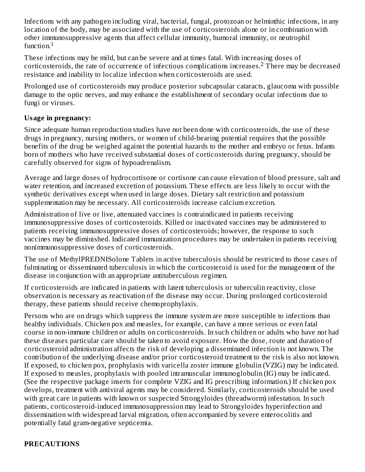Infections with any pathogen including viral, bacterial, fungal, protozoan or helminthic infections, in any location of the body, may be associated with the use of corticosteroids alone or in combination with other immunosuppressive agents that affect cellular immunity, humoral immunity, or neutrophil function.<sup>1</sup>

These infections may be mild, but can be severe and at times fatal. With increasing doses of corticosteroids, the rate of occurrence of infectious complications increases.<sup>2</sup> There may be decreased resistance and inability to localize infection when corticosteroids are used.

Prolonged use of corticosteroids may produce posterior subcapsular cataracts, glaucoma with possible damage to the optic nerves, and may enhance the establishment of secondary ocular infections due to fungi or viruses.

## **Usage in pregnancy:**

Since adequate human reproduction studies have not been done with corticosteroids, the use of these drugs in pregnancy, nursing mothers, or women of child-bearing potential requires that the possible benefits of the drug be weighed against the potential hazards to the mother and embryo or fetus. Infants born of mothers who have received substantial doses of corticosteroids during pregnancy, should be carefully observed for signs of hypoadrenalism.

Average and large doses of hydrocortisone or cortisone can cause elevation of blood pressure, salt and water retention, and increased excretion of potassium. These effects are less likely to occur with the synthetic derivatives except when used in large doses. Dietary salt restriction and potassium supplementation may be necessary. All corticosteroids increase calcium excretion.

Administration of live or live, attenuated vaccines is contraindicated in patients receiving immunosuppressive doses of corticosteroids. Killed or inactivated vaccines may be administered to patients receiving immunosuppressive doses of corticosteroids; however, the response to such vaccines may be diminished. Indicated immunization procedures may be undertaken in patients receiving nonimmunosuppressive doses of corticosteroids.

The use of MethylPREDNISolone Tablets in active tuberculosis should be restricted to those cases of fulminating or disseminated tuberculosis in which the corticosteroid is used for the management of the disease in conjunction with an appropriate antituberculous regimen.

If corticosteroids are indicated in patients with latent tuberculosis or tuberculin reactivity, close observation is necessary as reactivation of the disease may occur. During prolonged corticosteroid therapy, these patients should receive chemoprophylaxis.

Persons who are on drugs which suppress the immune system are more susceptible to infections than healthy individuals. Chicken pox and measles, for example, can have a more serious or even fatal course in non-immune children or adults on corticosteroids. In such children or adults who have not had these diseases particular care should be taken to avoid exposure. How the dose, route and duration of corticosteroid administration affects the risk of developing a disseminated infection is not known. The contribution of the underlying disease and/or prior corticosteroid treatment to the risk is also not known. If exposed, to chicken pox, prophylaxis with varicella zoster immune globulin (VZIG) may be indicated. If exposed to measles, prophylaxis with pooled intramuscular immunoglobulin (IG) may be indicated. (See the respective package inserts for complete VZIG and IG prescribing information.) If chicken pox develops, treatment with antiviral agents may be considered. Similarly, corticosteroids should be used with great care in patients with known or suspected Strongyloides (threadworm) infestation. In such patients, corticosteroid-induced immunosuppression may lead to Strongyloides hyperinfection and dissemination with widespread larval migration, often accompanied by severe enterocolitis and potentially fatal gram-negative septicemia.

### **PRECAUTIONS**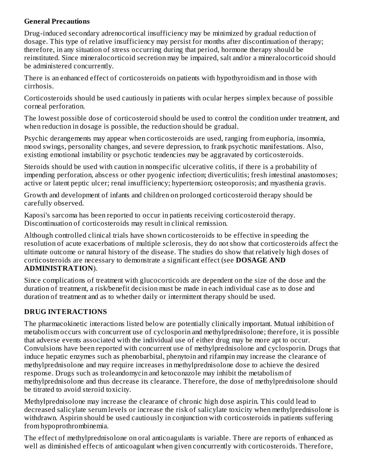# **General Precautions**

Drug-induced secondary adrenocortical insufficiency may be minimized by gradual reduction of dosage. This type of relative insufficiency may persist for months after discontinuation of therapy; therefore, in any situation of stress occurring during that period, hormone therapy should be reinstituted. Since mineralocorticoid secretion may be impaired, salt and/or a mineralocorticoid should be administered concurrently.

There is an enhanced effect of corticosteroids on patients with hypothyroidism and in those with cirrhosis.

Corticosteroids should be used cautiously in patients with ocular herpes simplex because of possible corneal perforation.

The lowest possible dose of corticosteroid should be used to control the condition under treatment, and when reduction in dosage is possible, the reduction should be gradual.

Psychic derangements may appear when corticosteroids are used, ranging from euphoria, insomnia, mood swings, personality changes, and severe depression, to frank psychotic manifestations. Also, existing emotional instability or psychotic tendencies may be aggravated by corticosteroids.

Steroids should be used with caution in nonspecific ulcerative colitis, if there is a probability of impending perforation, abscess or other pyogenic infection; diverticulitis; fresh intestinal anastomoses; active or latent peptic ulcer; renal insufficiency; hypertension; osteoporosis; and myasthenia gravis.

Growth and development of infants and children on prolonged corticosteroid therapy should be carefully observed.

Kaposi's sarcoma has been reported to occur in patients receiving corticosteroid therapy. Discontinuation of corticosteroids may result in clinical remission.

Although controlled clinical trials have shown corticosteroids to be effective in speeding the resolution of acute exacerbations of multiple sclerosis, they do not show that corticosteroids affect the ultimate outcome or natural history of the disease. The studies do show that relatively high doses of corticosteroids are necessary to demonstrate a significant effect (see **DOSAGE AND ADMINISTRATION**).

Since complications of treatment with glucocorticoids are dependent on the size of the dose and the duration of treatment, a risk/benefit decision must be made in each individual case as to dose and duration of treatment and as to whether daily or intermittent therapy should be used.

# **DRUG INTERACTIONS**

The pharmacokinetic interactions listed below are potentially clinically important. Mutual inhibition of metabolism occurs with concurrent use of cyclosporin and methylprednisolone; therefore, it is possible that adverse events associated with the individual use of either drug may be more apt to occur. Convulsions have been reported with concurrent use of methylprednisolone and cyclosporin. Drugs that induce hepatic enzymes such as phenobarbital, phenytoin and rifampin may increase the clearance of methylprednisolone and may require increases in methylprednisolone dose to achieve the desired response. Drugs such as troleandomycin and ketoconazole may inhibit the metabolism of methylprednisolone and thus decrease its clearance. Therefore, the dose of methylprednisolone should be titrated to avoid steroid toxicity.

Methylprednisolone may increase the clearance of chronic high dose aspirin. This could lead to decreased salicylate serum levels or increase the risk of salicylate toxicity when methylprednisolone is withdrawn. Aspirin should be used cautiously in conjunction with corticosteroids in patients suffering from hypoprothrombinemia.

The effect of methylprednisolone on oral anticoagulants is variable. There are reports of enhanced as well as diminished effects of anticoagulant when given concurrently with corticosteroids. Therefore,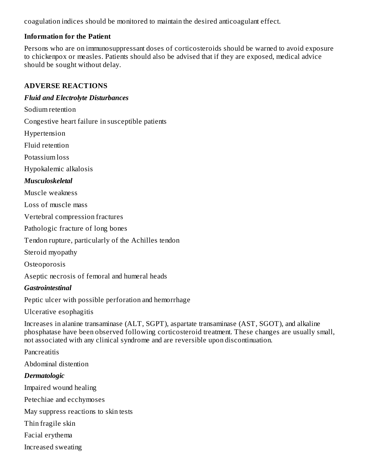coagulation indices should be monitored to maintain the desired anticoagulant effect.

#### **Information for the Patient**

Persons who are on immunosuppressant doses of corticosteroids should be warned to avoid exposure to chickenpox or measles. Patients should also be advised that if they are exposed, medical advice should be sought without delay.

#### **ADVERSE REACTIONS**

#### *Fluid and Electrolyte Disturbances*

Sodium retention

Congestive heart failure in susceptible patients

Hypertension

Fluid retention

Potassium loss

Hypokalemic alkalosis

#### *Musculoskeletal*

Muscle weakness

Loss of muscle mass

Vertebral compression fractures

Pathologic fracture of long bones

Tendon rupture, particularly of the Achilles tendon

Steroid myopathy

**Osteoporosis** 

Aseptic necrosis of femoral and humeral heads

### *Gastrointestinal*

Peptic ulcer with possible perforation and hemorrhage

Ulcerative esophagitis

Increases in alanine transaminase (ALT, SGPT), aspartate transaminase (AST, SGOT), and alkaline phosphatase have been observed following corticosteroid treatment. These changes are usually small, not associated with any clinical syndrome and are reversible upon discontinuation.

**Pancreatitis** 

Abdominal distention

### *Dermatologic*

Impaired wound healing Petechiae and ecchymoses May suppress reactions to skin tests Thin fragile skin Facial erythema Increased sweating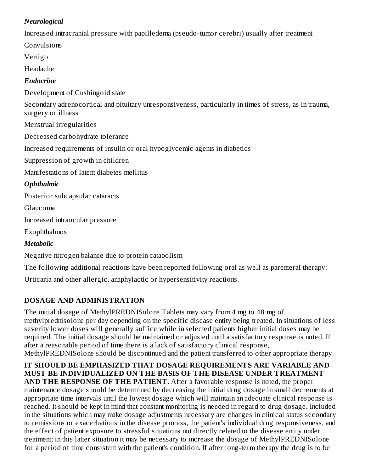# *Neurological*

Increased intracranial pressure with papilledema (pseudo-tumor cerebri) usually after treatment

Convulsions

Vertigo

Headache

# *Endocrine*

Development of Cushingoid state

Secondary adrenocortical and pituitary unresponsiveness, particularly in times of stress, as in trauma, surgery or illness

Menstrual irregularities

Decreased carbohydrate tolerance

Increased requirements of insulin or oral hypoglycemic agents in diabetics

Suppression of growth in children

Manifestations of latent diabetes mellitus

# *Ophthalmic*

Posterior subcapsular cataracts

Glaucoma

Increased intraocular pressure

Exophthalmos

# *Metabolic*

Negative nitrogen balance due to protein catabolism

The following additional reactions have been reported following oral as well as parenteral therapy:

Urticaria and other allergic, anaphylactic or hypersensitivity reactions.

# **DOSAGE AND ADMINISTRATION**

The initial dosage of MethylPREDNISolone Tablets may vary from 4 mg to 48 mg of methylprednisolone per day depending on the specific disease entity being treated. In situations of less severity lower doses will generally suffice while in selected patients higher initial doses may be required. The initial dosage should be maintained or adjusted until a satisfactory response is noted. If after a reasonable period of time there is a lack of satisfactory clinical response, MethylPREDNISolone should be discontinued and the patient transferred to other appropriate therapy.

**IT SHOULD BE EMPHASIZED THAT DOSAGE REQUIREMENTS ARE VARIABLE AND MUST BE INDIVIDUALIZED ON THE BASIS OF THE DISEASE UNDER TREATMENT AND THE RESPONSE OF THE PATIENT.** After a favorable response is noted, the proper maintenance dosage should be determined by decreasing the initial drug dosage in small decrements at appropriate time intervals until the lowest dosage which will maintain an adequate clinical response is reached. It should be kept in mind that constant monitoring is needed in regard to drug dosage. Included in the situations which may make dosage adjustments necessary are changes in clinical status secondary to remissions or exacerbations in the disease process, the patient's individual drug responsiveness, and the effect of patient exposure to stressful situations not directly related to the disease entity under treatment; in this latter situation it may be necessary to increase the dosage of MethylPREDNISolone for a period of time consistent with the patient's condition. If after long-term therapy the drug is to be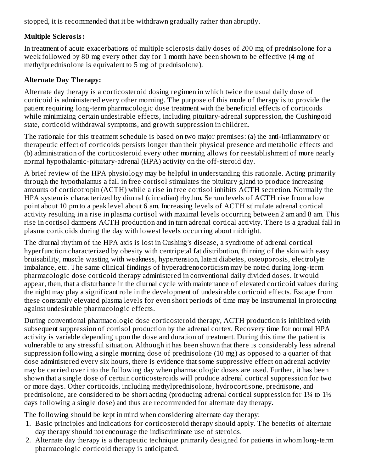stopped, it is recommended that it be withdrawn gradually rather than abruptly.

# **Multiple Sclerosis:**

In treatment of acute exacerbations of multiple sclerosis daily doses of 200 mg of prednisolone for a week followed by 80 mg every other day for 1 month have been shown to be effective (4 mg of methylprednisolone is equivalent to 5 mg of prednisolone).

# **Alternate Day Therapy:**

Alternate day therapy is a corticosteroid dosing regimen in which twice the usual daily dose of corticoid is administered every other morning. The purpose of this mode of therapy is to provide the patient requiring long-term pharmacologic dose treatment with the beneficial effects of corticoids while minimizing certain undesirable effects, including pituitary-adrenal suppression, the Cushingoid state, corticoid withdrawal symptoms, and growth suppression in children.

The rationale for this treatment schedule is based on two major premises: (a) the anti-inflammatory or therapeutic effect of corticoids persists longer than their physical presence and metabolic effects and (b) administration of the corticosteroid every other morning allows for reestablishment of more nearly normal hypothalamic-pituitary-adrenal (HPA) activity on the off-steroid day.

A brief review of the HPA physiology may be helpful in understanding this rationale. Acting primarily through the hypothalamus a fall in free cortisol stimulates the pituitary gland to produce increasing amounts of corticotropin (ACTH) while a rise in free cortisol inhibits ACTH secretion. Normally the HPA system is characterized by diurnal (circadian) rhythm. Serum levels of ACTH rise from a low point about 10 pm to a peak level about 6 am. Increasing levels of ACTH stimulate adrenal cortical activity resulting in a rise in plasma cortisol with maximal levels occurring between 2 am and 8 am. This rise in cortisol dampens ACTH production and in turn adrenal cortical activity. There is a gradual fall in plasma corticoids during the day with lowest levels occurring about midnight.

The diurnal rhythm of the HPA axis is lost in Cushing's disease, a syndrome of adrenal cortical hyperfunction characterized by obesity with centripetal fat distribution, thinning of the skin with easy bruisability, muscle wasting with weakness, hypertension, latent diabetes, osteoporosis, electrolyte imbalance, etc. The same clinical findings of hyperadrenocorticism may be noted during long-term pharmacologic dose corticoid therapy administered in conventional daily divided doses. It would appear, then, that a disturbance in the diurnal cycle with maintenance of elevated corticoid values during the night may play a significant role in the development of undesirable corticoid effects. Escape from these constantly elevated plasma levels for even short periods of time may be instrumental in protecting against undesirable pharmacologic effects.

During conventional pharmacologic dose corticosteroid therapy, ACTH production is inhibited with subsequent suppression of cortisol production by the adrenal cortex. Recovery time for normal HPA activity is variable depending upon the dose and duration of treatment. During this time the patient is vulnerable to any stressful situation. Although it has been shown that there is considerably less adrenal suppression following a single morning dose of prednisolone (10 mg) as opposed to a quarter of that dose administered every six hours, there is evidence that some suppressive effect on adrenal activity may be carried over into the following day when pharmacologic doses are used. Further, it has been shown that a single dose of certain corticosteroids will produce adrenal cortical suppression for two or more days. Other corticoids, including methylprednisolone, hydrocortisone, prednisone, and prednisolone, are considered to be short acting (producing adrenal cortical suppression for 1¼ to 1½ days following a single dose) and thus are recommended for alternate day therapy.

The following should be kept in mind when considering alternate day therapy:

- 1. Basic principles and indications for corticosteroid therapy should apply. The benefits of alternate day therapy should not encourage the indiscriminate use of steroids.
- 2. Alternate day therapy is a therapeutic technique primarily designed for patients in whom long-term pharmacologic corticoid therapy is anticipated.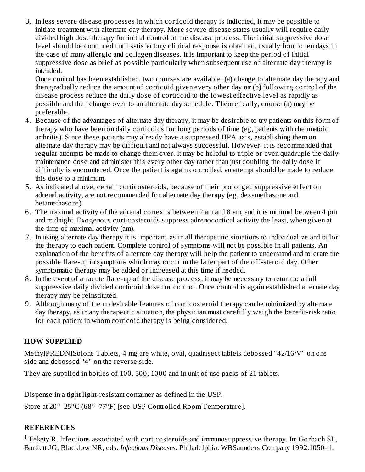3. In less severe disease processes in which corticoid therapy is indicated, it may be possible to initiate treatment with alternate day therapy. More severe disease states usually will require daily divided high dose therapy for initial control of the disease process. The initial suppressive dose level should be continued until satisfactory clinical response is obtained, usually four to ten days in the case of many allergic and collagen diseases. It is important to keep the period of initial suppressive dose as brief as possible particularly when subsequent use of alternate day therapy is intended.

Once control has been established, two courses are available: (a) change to alternate day therapy and then gradually reduce the amount of corticoid given every other day **or** (b) following control of the disease process reduce the daily dose of corticoid to the lowest effective level as rapidly as possible and then change over to an alternate day schedule. Theoretically, course (a) may be preferable.

- 4. Because of the advantages of alternate day therapy, it may be desirable to try patients on this form of therapy who have been on daily corticoids for long periods of time (eg, patients with rheumatoid arthritis). Since these patients may already have a suppressed HPA axis, establishing them on alternate day therapy may be difficult and not always successful. However, it is recommended that regular attempts be made to change them over. It may be helpful to triple or even quadruple the daily maintenance dose and administer this every other day rather than just doubling the daily dose if difficulty is encountered. Once the patient is again controlled, an attempt should be made to reduce this dose to a minimum.
- 5. As indicated above, certain corticosteroids, because of their prolonged suppressive effect on adrenal activity, are not recommended for alternate day therapy (eg, dexamethasone and betamethasone).
- 6. The maximal activity of the adrenal cortex is between 2 am and 8 am, and it is minimal between 4 pm and midnight. Exogenous corticosteroids suppress adrenocortical activity the least, when given at the time of maximal activity (am).
- 7. In using alternate day therapy it is important, as in all therapeutic situations to individualize and tailor the therapy to each patient. Complete control of symptoms will not be possible in all patients. An explanation of the benefits of alternate day therapy will help the patient to understand and tolerate the possible flare-up in symptoms which may occur in the latter part of the off-steroid day. Other symptomatic therapy may be added or increased at this time if needed.
- 8. In the event of an acute flare-up of the disease process, it may be necessary to return to a full suppressive daily divided corticoid dose for control. Once control is again established alternate day therapy may be reinstituted.
- 9. Although many of the undesirable features of corticosteroid therapy can be minimized by alternate day therapy, as in any therapeutic situation, the physician must carefully weigh the benefit-risk ratio for each patient in whom corticoid therapy is being considered.

# **HOW SUPPLIED**

MethylPREDNISolone Tablets, 4 mg are white, oval, quadrisect tablets debossed "42/16/V" on one side and debossed "4" on the reverse side.

They are supplied in bottles of 100, 500, 1000 and in unit of use packs of 21 tablets.

Dispense in a tight light-resistant container as defined in the USP.

Store at 20°–25°C (68°–77°F) [see USP Controlled Room Temperature].

# **REFERENCES**

 $^1$  Fekety R. Infections associated with corticosteroids and immunosuppressive therapy. In: Gorbach SL, Bartlett JG, Blacklow NR, eds. *Infectious Diseases*. Philadelphia: WBSaunders Company 1992:1050–1.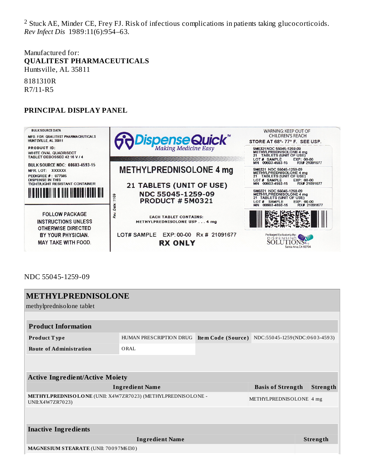$2$  Stuck AE, Minder CE, Frey FJ. Risk of infectious complications in patients taking glucocorticoids. *Rev Infect Dis* 1989:11(6):954–63.

Manufactured for: **QUALITEST PHARMACEUTICALS** Huntsville, AL 35811

8181310R R7/11-R5

#### **PRINCIPAL DISPLAY PANEL**



#### NDC 55045-1259-09

| <b>METHYLPREDNISOLONE</b><br>methylprednisolone tablet                          |                                       |  |                    |                                                                                                  |  |  |  |  |  |
|---------------------------------------------------------------------------------|---------------------------------------|--|--------------------|--------------------------------------------------------------------------------------------------|--|--|--|--|--|
|                                                                                 |                                       |  |                    |                                                                                                  |  |  |  |  |  |
|                                                                                 |                                       |  |                    |                                                                                                  |  |  |  |  |  |
| HUMAN PRESCRIPTION DRUG                                                         |                                       |  |                    |                                                                                                  |  |  |  |  |  |
| ORAL                                                                            |                                       |  |                    |                                                                                                  |  |  |  |  |  |
|                                                                                 |                                       |  |                    |                                                                                                  |  |  |  |  |  |
| <b>Active Ingredient/Active Moiety</b>                                          |                                       |  |                    |                                                                                                  |  |  |  |  |  |
| <b>Ingredient Name</b>                                                          |                                       |  |                    |                                                                                                  |  |  |  |  |  |
| METHYLPREDNISOLONE (UNII: X4W7ZR7023) (METHYLPREDNISOLONE -<br>UNII:X4W7ZR7023) |                                       |  |                    |                                                                                                  |  |  |  |  |  |
|                                                                                 |                                       |  |                    |                                                                                                  |  |  |  |  |  |
| <b>Inactive Ingredients</b>                                                     |                                       |  |                    |                                                                                                  |  |  |  |  |  |
| <b>Ingredient Name</b>                                                          |                                       |  |                    |                                                                                                  |  |  |  |  |  |
|                                                                                 |                                       |  |                    |                                                                                                  |  |  |  |  |  |
|                                                                                 | MAGNESIUM STEARATE (UNII: 70097M6I30) |  | Item Code (Source) | NDC:55045-1259(NDC:0603-4593)<br><b>Basis of Strength</b><br>METHYLPREDNISOLONE 4 mg<br>Strength |  |  |  |  |  |